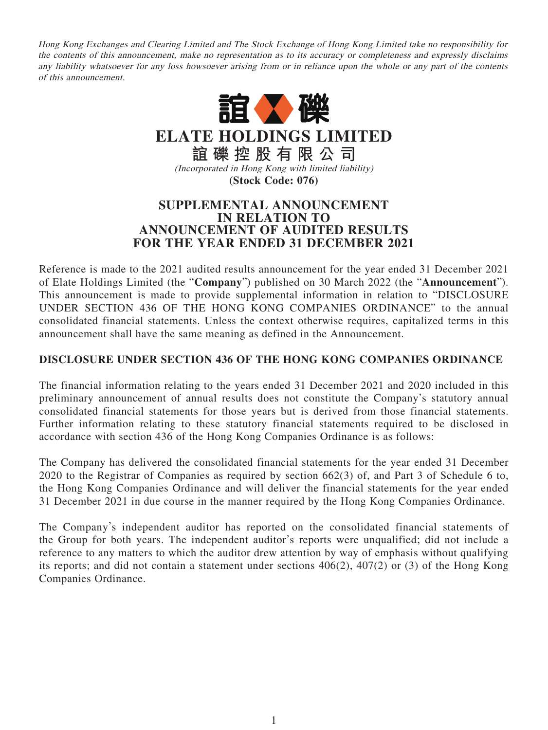Hong Kong Exchanges and Clearing Limited and The Stock Exchange of Hong Kong Limited take no responsibility for the contents of this announcement, make no representation as to its accuracy or completeness and expressly disclaims any liability whatsoever for any loss howsoever arising from or in reliance upon the whole or any part of the contents of this announcement.



**ELATE HOLDINGS LIMITED 誼礫控股有限公司**

(Incorporated in Hong Kong with limited liability) **(Stock Code: 076)**

## **SUPPLEMENTAL ANNOUNCEMENT IN RELATION TO ANNOUNCEMENT OF AUDITED RESULTS FOR THE YEAR ENDED 31 DECEMBER 2021**

Reference is made to the 2021 audited results announcement for the year ended 31 December 2021 of Elate Holdings Limited (the "**Company**") published on 30 March 2022 (the "**Announcement**"). This announcement is made to provide supplemental information in relation to "DISCLOSURE UNDER SECTION 436 OF THE HONG KONG COMPANIES ORDINANCE" to the annual consolidated financial statements. Unless the context otherwise requires, capitalized terms in this announcement shall have the same meaning as defined in the Announcement.

## **DISCLOSURE UNDER SECTION 436 OF THE HONG KONG COMPANIES ORDINANCE**

The financial information relating to the years ended 31 December 2021 and 2020 included in this preliminary announcement of annual results does not constitute the Company's statutory annual consolidated financial statements for those years but is derived from those financial statements. Further information relating to these statutory financial statements required to be disclosed in accordance with section 436 of the Hong Kong Companies Ordinance is as follows:

The Company has delivered the consolidated financial statements for the year ended 31 December 2020 to the Registrar of Companies as required by section 662(3) of, and Part 3 of Schedule 6 to, the Hong Kong Companies Ordinance and will deliver the financial statements for the year ended 31 December 2021 in due course in the manner required by the Hong Kong Companies Ordinance.

The Company's independent auditor has reported on the consolidated financial statements of the Group for both years. The independent auditor's reports were unqualified; did not include a reference to any matters to which the auditor drew attention by way of emphasis without qualifying its reports; and did not contain a statement under sections 406(2), 407(2) or (3) of the Hong Kong Companies Ordinance.